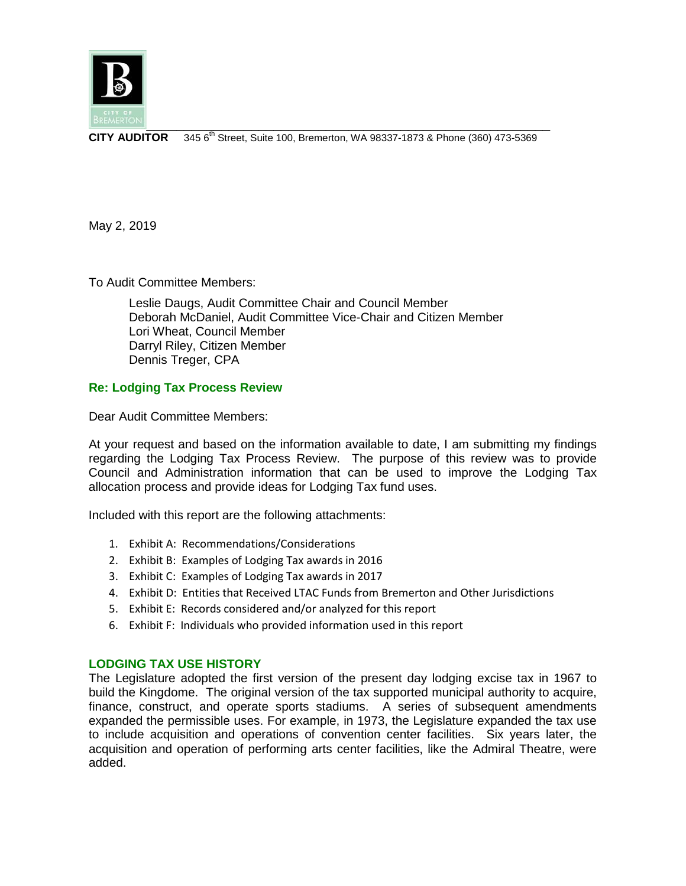

\_\_\_\_\_\_\_\_\_\_\_\_\_\_\_\_\_\_\_\_\_\_\_\_\_\_\_\_\_\_\_\_\_\_\_\_\_\_\_\_\_\_\_\_\_\_\_\_\_\_\_\_\_\_ **CITY AUDITOR** 345 6<sup>th</sup> Street, Suite 100, Bremerton, WA 98337-1873 & Phone (360) 473-5369

May 2, 2019

To Audit Committee Members:

Leslie Daugs, Audit Committee Chair and Council Member Deborah McDaniel, Audit Committee Vice-Chair and Citizen Member Lori Wheat, Council Member Darryl Riley, Citizen Member Dennis Treger, CPA

## **Re: Lodging Tax Process Review**

Dear Audit Committee Members:

At your request and based on the information available to date, I am submitting my findings regarding the Lodging Tax Process Review. The purpose of this review was to provide Council and Administration information that can be used to improve the Lodging Tax allocation process and provide ideas for Lodging Tax fund uses.

Included with this report are the following attachments:

- 1. Exhibit A: Recommendations/Considerations
- 2. Exhibit B: Examples of Lodging Tax awards in 2016
- 3. Exhibit C: Examples of Lodging Tax awards in 2017
- 4. Exhibit D: Entities that Received LTAC Funds from Bremerton and Other Jurisdictions
- 5. Exhibit E: Records considered and/or analyzed for this report
- 6. Exhibit F: Individuals who provided information used in this report

## **LODGING TAX USE HISTORY**

The Legislature adopted the first version of the present day lodging excise tax in 1967 to build the Kingdome. The original version of the tax supported municipal authority to acquire, finance, construct, and operate sports stadiums. A series of subsequent amendments expanded the permissible uses. For example, in 1973, the Legislature expanded the tax use to include acquisition and operations of convention center facilities. Six years later, the acquisition and operation of performing arts center facilities, like the Admiral Theatre, were added.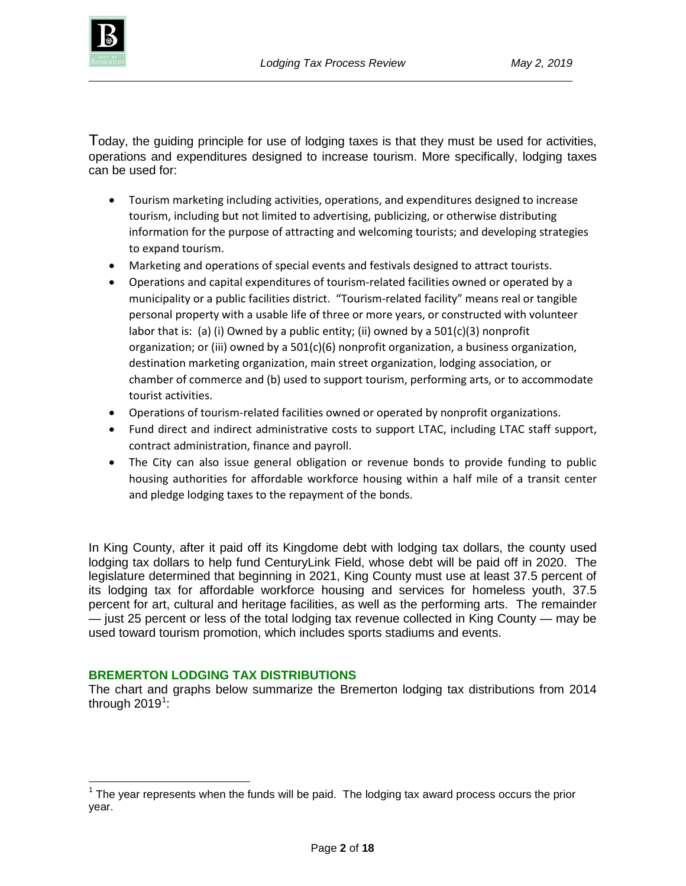

Today, the guiding principle for use of lodging taxes is that they must be used for activities, operations and expenditures designed to increase tourism. More specifically, lodging taxes can be used for:

- Tourism marketing including activities, operations, and expenditures designed to increase tourism, including but not limited to advertising, publicizing, or otherwise distributing information for the purpose of attracting and welcoming tourists; and developing strategies to expand tourism.
- Marketing and operations of special events and festivals designed to attract tourists.
- Operations and capital expenditures of tourism-related facilities owned or operated by a municipality or a public facilities district. "Tourism-related facility" means real or tangible personal property with a usable life of three or more years, or constructed with volunteer labor that is: (a) (i) Owned by a public entity; (ii) owned by a 501(c)(3) nonprofit organization; or (iii) owned by a 501(c)(6) nonprofit organization, a business organization, destination marketing organization, main street organization, lodging association, or chamber of commerce and (b) used to support tourism, performing arts, or to accommodate tourist activities.
- Operations of tourism-related facilities owned or operated by nonprofit organizations.
- Fund direct and indirect administrative costs to support LTAC, including LTAC staff support, contract administration, finance and payroll.
- The City can also issue general obligation or revenue bonds to provide funding to public housing authorities for affordable workforce housing within a half mile of a transit center and pledge lodging taxes to the repayment of the bonds.

In King County, after it paid off its Kingdome debt with lodging tax dollars, the county used lodging tax dollars to help fund CenturyLink Field, whose debt will be paid off in 2020. The legislature determined that beginning in 2021, King County must use at least 37.5 percent of its lodging tax for affordable workforce housing and services for homeless youth, 37.5 percent for art, cultural and heritage facilities, as well as the performing arts. The remainder — just 25 percent or less of the total lodging tax revenue collected in King County — may be used toward tourism promotion, which includes sports stadiums and events.

## **BREMERTON LODGING TAX DISTRIBUTIONS**

The chart and graphs below summarize the Bremerton lodging tax distributions from 2014 through 20[1](#page-1-0)9 $^{\rm 1}$ :

<span id="page-1-0"></span> $1$  The year represents when the funds will be paid. The lodging tax award process occurs the prior year.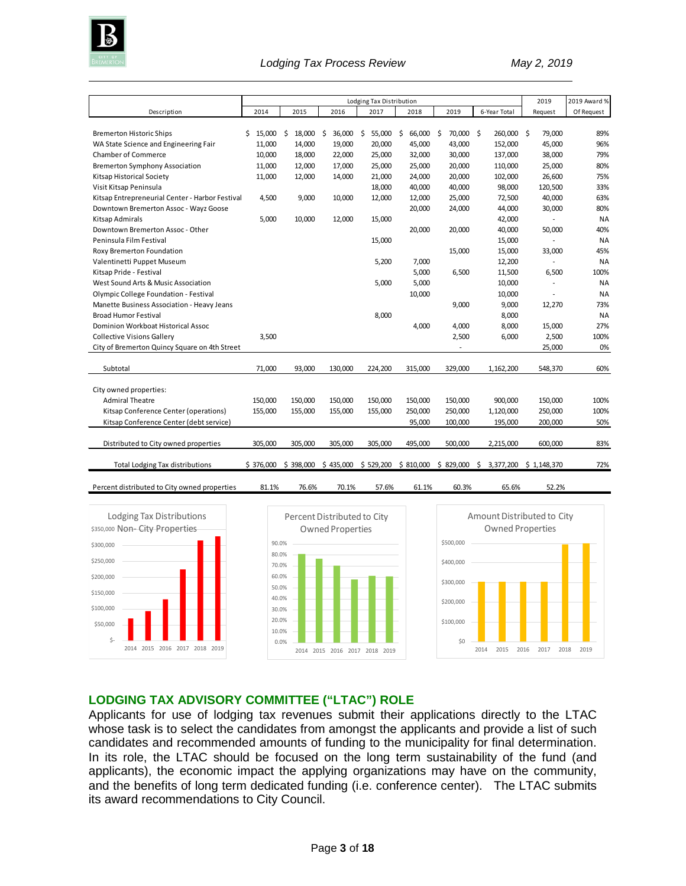

|                                                 | Lodging Tax Distribution |               |              |              |               |                          |                | 2019        | 2019 Award % |
|-------------------------------------------------|--------------------------|---------------|--------------|--------------|---------------|--------------------------|----------------|-------------|--------------|
| Description                                     | 2014                     | 2015          | 2016         | 2017         | 2018          | 2019                     | 6-Year Total   | Request     | Of Request   |
|                                                 |                          |               |              |              |               |                          |                |             |              |
| <b>Bremerton Historic Ships</b>                 | 15,000<br>Ŝ              | \$.<br>18,000 | \$<br>36,000 | \$<br>55,000 | -\$<br>66,000 | 70,000 \$<br>Ŝ.          | 260,000 \$     | 79,000      | 89%          |
| WA State Science and Engineering Fair           | 11,000                   | 14,000        | 19,000       | 20,000       | 45,000        | 43,000                   | 152,000        | 45,000      | 96%          |
| <b>Chamber of Commerce</b>                      | 10,000                   | 18,000        | 22,000       | 25,000       | 32,000        | 30,000                   | 137,000        | 38,000      | 79%          |
| <b>Bremerton Symphony Association</b>           | 11,000                   | 12,000        | 17,000       | 25,000       | 25,000        | 20,000                   | 110,000        | 25,000      | 80%          |
| Kitsap Historical Society                       | 11,000                   | 12,000        | 14,000       | 21,000       | 24,000        | 20,000                   | 102,000        | 26,600      | 75%          |
| Visit Kitsap Peninsula                          |                          |               |              | 18,000       | 40,000        | 40,000                   | 98,000         | 120,500     | 33%          |
| Kitsap Entrepreneurial Center - Harbor Festival | 4,500                    | 9,000         | 10,000       | 12,000       | 12,000        | 25,000                   | 72,500         | 40,000      | 63%          |
| Downtown Bremerton Assoc - Wayz Goose           |                          |               |              |              | 20,000        | 24,000                   | 44,000         | 30,000      | 80%          |
| <b>Kitsap Admirals</b>                          | 5,000                    | 10,000        | 12,000       | 15,000       |               |                          | 42,000         |             | <b>NA</b>    |
| Downtown Bremerton Assoc - Other                |                          |               |              |              | 20,000        | 20,000                   | 40,000         | 50,000      | 40%          |
| Peninsula Film Festival                         |                          |               |              | 15,000       |               |                          | 15,000         |             | <b>NA</b>    |
| Roxy Bremerton Foundation                       |                          |               |              |              |               | 15,000                   | 15,000         | 33,000      | 45%          |
| Valentinetti Puppet Museum                      |                          |               |              | 5,200        | 7,000         |                          | 12,200         |             | <b>NA</b>    |
| Kitsap Pride - Festival                         |                          |               |              |              | 5,000         | 6,500                    | 11,500         | 6,500       | 100%         |
| West Sound Arts & Music Association             |                          |               |              | 5,000        | 5,000         |                          | 10,000         |             | <b>NA</b>    |
| Olympic College Foundation - Festival           |                          |               |              |              | 10,000        |                          | 10,000         |             | <b>NA</b>    |
| Manette Business Association - Heavy Jeans      |                          |               |              |              |               | 9,000                    | 9,000          | 12,270      | 73%          |
| <b>Broad Humor Festival</b>                     |                          |               |              | 8,000        |               |                          | 8,000          |             | <b>NA</b>    |
| <b>Dominion Workboat Historical Assoc</b>       |                          |               |              |              | 4,000         | 4,000                    | 8,000          | 15,000      | 27%          |
| <b>Collective Visions Gallery</b>               | 3,500                    |               |              |              |               | 2,500                    | 6,000          | 2,500       | 100%         |
| City of Bremerton Quincy Square on 4th Street   |                          |               |              |              |               | $\overline{\phantom{a}}$ |                | 25,000      | 0%           |
|                                                 |                          |               |              |              |               |                          |                |             |              |
| Subtotal                                        | 71.000                   | 93,000        | 130,000      | 224,200      | 315,000       | 329,000                  | 1,162,200      | 548,370     | 60%          |
|                                                 |                          |               |              |              |               |                          |                |             |              |
| City owned properties:                          |                          |               |              |              |               |                          |                |             |              |
| <b>Admiral Theatre</b>                          | 150,000                  | 150,000       | 150,000      | 150,000      | 150,000       | 150,000                  | 900,000        | 150,000     | 100%         |
| Kitsap Conference Center (operations)           | 155,000                  | 155,000       | 155,000      | 155,000      | 250,000       | 250,000                  | 1,120,000      | 250,000     | 100%         |
| Kitsap Conference Center (debt service)         |                          |               |              |              | 95,000        | 100,000                  | 195,000        | 200,000     | 50%          |
|                                                 |                          |               |              |              |               |                          |                |             |              |
| Distributed to City owned properties            | 305,000                  | 305,000       | 305,000      | 305,000      | 495,000       | 500,000                  | 2,215,000      | 600,000     | 83%          |
| <b>Total Lodging Tax distributions</b>          | \$376,000                | \$398,000     | \$435,000    | \$529,200    | \$810,000     | \$829,000                | S<br>3,377,200 | \$1,148,370 | 72%          |
|                                                 |                          |               |              |              |               |                          |                |             |              |

Percent distributed to City owned properties 81.1% 76.6% 70.1% 57.6% 61.1% 60.3% 65.6% 52.2%







### **LODGING TAX ADVISORY COMMITTEE ("LTAC") ROLE**

Applicants for use of lodging tax revenues submit their applications directly to the LTAC whose task is to select the candidates from amongst the applicants and provide a list of such candidates and recommended amounts of funding to the municipality for final determination. In its role, the LTAC should be focused on the long term sustainability of the fund (and applicants), the economic impact the applying organizations may have on the community, and the benefits of long term dedicated funding (i.e. conference center). The LTAC submits its award recommendations to City Council.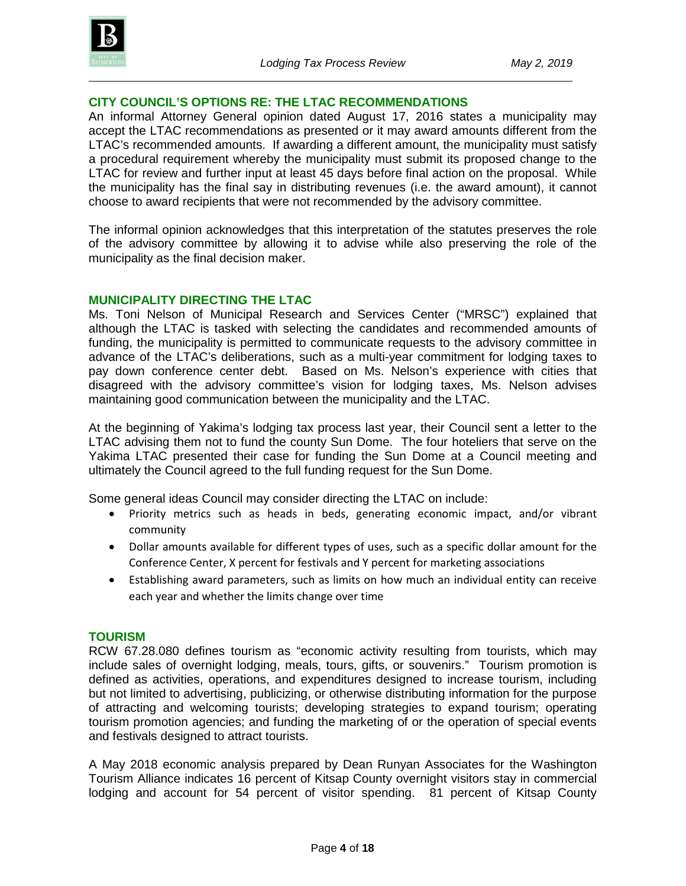

#### **CITY COUNCIL'S OPTIONS RE: THE LTAC RECOMMENDATIONS**

An informal Attorney General opinion dated August 17, 2016 states a municipality may accept the LTAC recommendations as presented or it may award amounts different from the LTAC's recommended amounts. If awarding a different amount, the municipality must satisfy a procedural requirement whereby the municipality must submit its proposed change to the LTAC for review and further input at least 45 days before final action on the proposal. While the municipality has the final say in distributing revenues (i.e. the award amount), it cannot choose to award recipients that were not recommended by the advisory committee.

The informal opinion acknowledges that this interpretation of the statutes preserves the role of the advisory committee by allowing it to advise while also preserving the role of the municipality as the final decision maker.

#### **MUNICIPALITY DIRECTING THE LTAC**

Ms. Toni Nelson of Municipal Research and Services Center ("MRSC") explained that although the LTAC is tasked with selecting the candidates and recommended amounts of funding, the municipality is permitted to communicate requests to the advisory committee in advance of the LTAC's deliberations, such as a multi-year commitment for lodging taxes to pay down conference center debt. Based on Ms. Nelson's experience with cities that disagreed with the advisory committee's vision for lodging taxes, Ms. Nelson advises maintaining good communication between the municipality and the LTAC.

At the beginning of Yakima's lodging tax process last year, their Council sent a letter to the LTAC advising them not to fund the county Sun Dome. The four hoteliers that serve on the Yakima LTAC presented their case for funding the Sun Dome at a Council meeting and ultimately the Council agreed to the full funding request for the Sun Dome.

Some general ideas Council may consider directing the LTAC on include:

- Priority metrics such as heads in beds, generating economic impact, and/or vibrant community
- Dollar amounts available for different types of uses, such as a specific dollar amount for the Conference Center, X percent for festivals and Y percent for marketing associations
- Establishing award parameters, such as limits on how much an individual entity can receive each year and whether the limits change over time

#### **TOURISM**

RCW 67.28.080 defines tourism as "economic activity resulting from tourists, which may include sales of overnight lodging, meals, tours, gifts, or souvenirs." Tourism promotion is defined as activities, operations, and expenditures designed to increase tourism, including but not limited to advertising, publicizing, or otherwise distributing information for the purpose of attracting and welcoming tourists; developing strategies to expand tourism; operating tourism promotion agencies; and funding the marketing of or the operation of special events and festivals designed to attract tourists.

A May 2018 economic analysis prepared by Dean Runyan Associates for the Washington Tourism Alliance indicates 16 percent of Kitsap County overnight visitors stay in commercial lodging and account for 54 percent of visitor spending. 81 percent of Kitsap County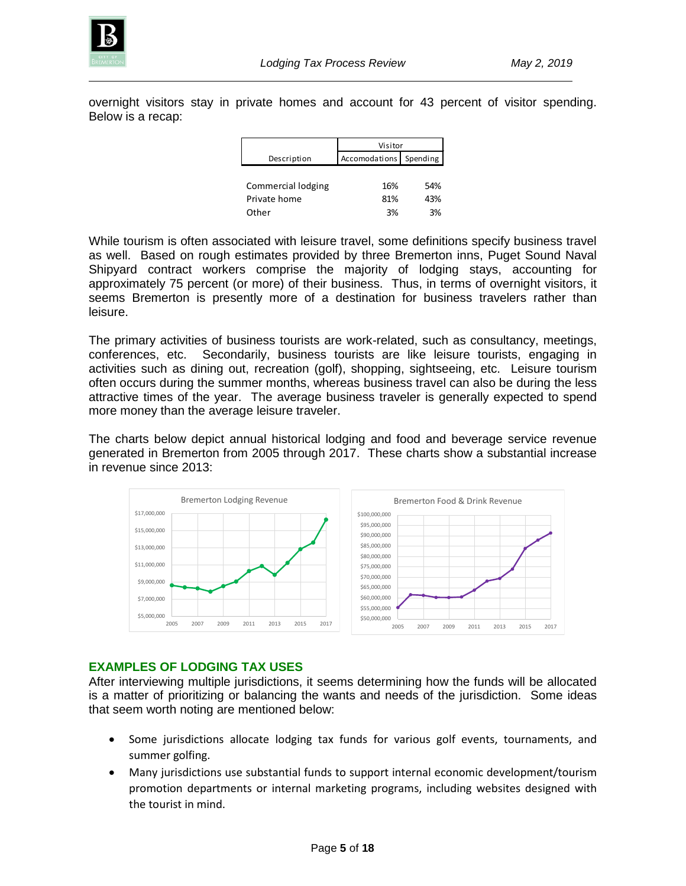

overnight visitors stay in private homes and account for 43 percent of visitor spending. Below is a recap:

|                    | Visitor       |          |  |  |  |  |
|--------------------|---------------|----------|--|--|--|--|
| Description        | Accomodations | Spending |  |  |  |  |
|                    |               |          |  |  |  |  |
| Commercial lodging | 16%           | 54%      |  |  |  |  |
| Private home       | 81%           | 43%      |  |  |  |  |
| Other              | 3%            | २%       |  |  |  |  |

While tourism is often associated with leisure travel, some definitions specify business travel as well. Based on rough estimates provided by three Bremerton inns, Puget Sound Naval Shipyard contract workers comprise the majority of lodging stays, accounting for approximately 75 percent (or more) of their business. Thus, in terms of overnight visitors, it seems Bremerton is presently more of a destination for business travelers rather than leisure.

The primary activities of business tourists are work-related, such as consultancy, meetings, conferences, etc. Secondarily, business tourists are like leisure tourists, engaging in activities such as dining out, recreation (golf), shopping, sightseeing, etc. Leisure tourism often occurs during the summer months, whereas business travel can also be during the less attractive times of the year. The average business traveler is generally expected to spend more money than the average leisure traveler.

The charts below depict annual historical lodging and food and beverage service revenue generated in Bremerton from 2005 through 2017. These charts show a substantial increase in revenue since 2013:



### **EXAMPLES OF LODGING TAX USES**

After interviewing multiple jurisdictions, it seems determining how the funds will be allocated is a matter of prioritizing or balancing the wants and needs of the jurisdiction. Some ideas that seem worth noting are mentioned below:

- Some jurisdictions allocate lodging tax funds for various golf events, tournaments, and summer golfing.
- Many jurisdictions use substantial funds to support internal economic development/tourism promotion departments or internal marketing programs, including websites designed with the tourist in mind.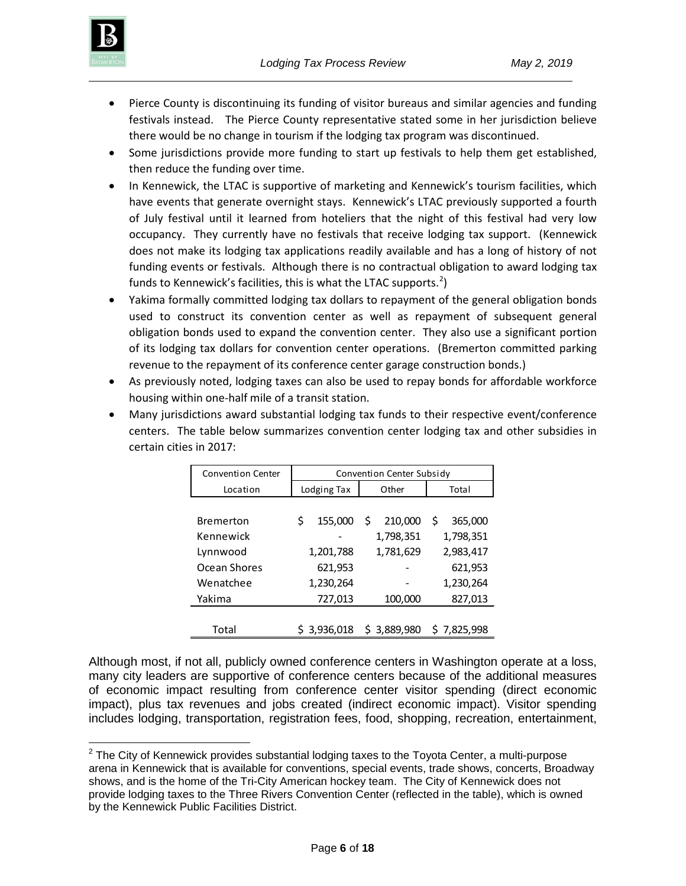

- Pierce County is discontinuing its funding of visitor bureaus and similar agencies and funding festivals instead. The Pierce County representative stated some in her jurisdiction believe there would be no change in tourism if the lodging tax program was discontinued.
- Some jurisdictions provide more funding to start up festivals to help them get established, then reduce the funding over time.
- In Kennewick, the LTAC is supportive of marketing and Kennewick's tourism facilities, which have events that generate overnight stays. Kennewick's LTAC previously supported a fourth of July festival until it learned from hoteliers that the night of this festival had very low occupancy. They currently have no festivals that receive lodging tax support. (Kennewick does not make its lodging tax applications readily available and has a long of history of not funding events or festivals. Although there is no contractual obligation to award lodging tax funds to Kennewick's facilities, this is what the LTAC supports.<sup>[2](#page-5-0)</sup>)
- Yakima formally committed lodging tax dollars to repayment of the general obligation bonds used to construct its convention center as well as repayment of subsequent general obligation bonds used to expand the convention center. They also use a significant portion of its lodging tax dollars for convention center operations. (Bremerton committed parking revenue to the repayment of its conference center garage construction bonds.)
- As previously noted, lodging taxes can also be used to repay bonds for affordable workforce housing within one-half mile of a transit station.
- Many jurisdictions award substantial lodging tax funds to their respective event/conference centers. The table below summarizes convention center lodging tax and other subsidies in certain cities in 2017:

| <b>Convention Center</b> | Convention Center Subsidy |               |              |  |  |  |  |  |  |
|--------------------------|---------------------------|---------------|--------------|--|--|--|--|--|--|
| Location                 | Lodging Tax               | Other         | Total        |  |  |  |  |  |  |
|                          |                           |               |              |  |  |  |  |  |  |
| Bremerton                | Ś<br>155,000              | 210,000<br>\$ | Ś<br>365,000 |  |  |  |  |  |  |
| Kennewick                |                           | 1,798,351     | 1,798,351    |  |  |  |  |  |  |
| Lynnwood                 | 1,201,788                 | 1,781,629     | 2,983,417    |  |  |  |  |  |  |
| Ocean Shores             | 621,953                   |               | 621,953      |  |  |  |  |  |  |
| Wenatchee                | 1,230,264                 |               | 1,230,264    |  |  |  |  |  |  |
| Yakima                   | 727,013                   | 100,000       | 827,013      |  |  |  |  |  |  |
|                          |                           |               |              |  |  |  |  |  |  |
| Total                    | 3,936,018                 | \$3,889,980   | \$7,825,998  |  |  |  |  |  |  |

Although most, if not all, publicly owned conference centers in Washington operate at a loss, many city leaders are supportive of conference centers because of the additional measures of economic impact resulting from conference center visitor spending (direct economic impact), plus tax revenues and jobs created (indirect economic impact). Visitor spending includes lodging, transportation, registration fees, food, shopping, recreation, entertainment,

<span id="page-5-0"></span> $2$  The City of Kennewick provides substantial lodging taxes to the Toyota Center, a multi-purpose arena in Kennewick that is available for conventions, special events, trade shows, concerts, Broadway shows, and is the home of the Tri-City American hockey team. The City of Kennewick does not provide lodging taxes to the Three Rivers Convention Center (reflected in the table), which is owned by the Kennewick Public Facilities District.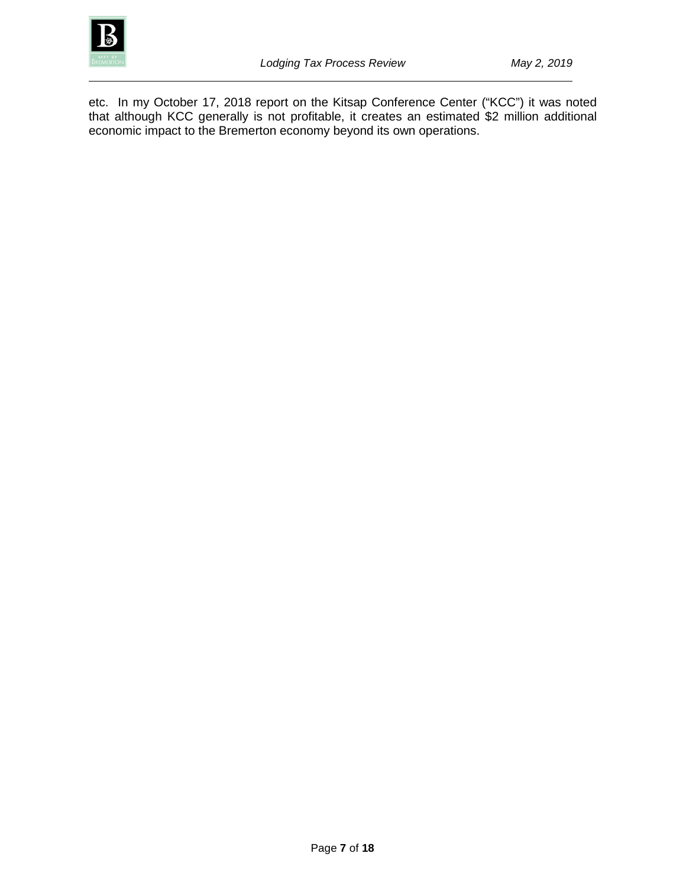

etc. In my October 17, 2018 report on the Kitsap Conference Center ("KCC") it was noted that although KCC generally is not profitable, it creates an estimated \$2 million additional economic impact to the Bremerton economy beyond its own operations.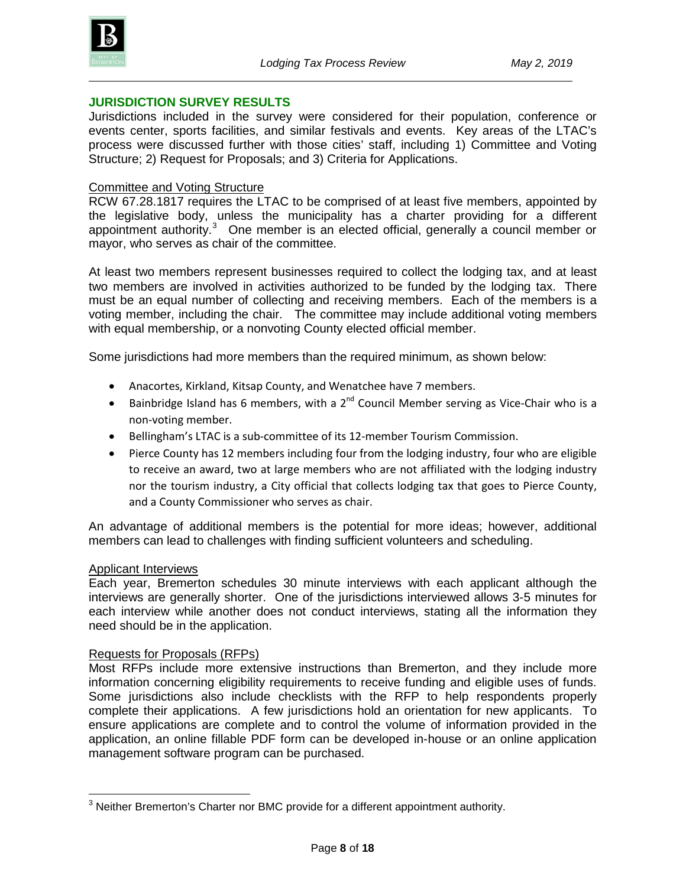

#### **JURISDICTION SURVEY RESULTS**

Jurisdictions included in the survey were considered for their population, conference or events center, sports facilities, and similar festivals and events. Key areas of the LTAC's process were discussed further with those cities' staff, including 1) Committee and Voting Structure; 2) Request for Proposals; and 3) Criteria for Applications.

#### Committee and Voting Structure

RCW 67.28.1817 requires the LTAC to be comprised of at least five members, appointed by the legislative body, unless the municipality has a charter providing for a different appointment authority.<sup>[3](#page-7-0)</sup> One member is an elected official, generally a council member or mayor, who serves as chair of the committee.

At least two members represent businesses required to collect the lodging tax, and at least two members are involved in activities authorized to be funded by the lodging tax. There must be an equal number of collecting and receiving members. Each of the members is a voting member, including the chair. The committee may include additional voting members with equal membership, or a nonvoting County elected official member.

Some jurisdictions had more members than the required minimum, as shown below:

- Anacortes, Kirkland, Kitsap County, and Wenatchee have 7 members.
- Bainbridge Island has 6 members, with a  $2^{nd}$  Council Member serving as Vice-Chair who is a non-voting member.
- Bellingham's LTAC is a sub-committee of its 12-member Tourism Commission.
- Pierce County has 12 members including four from the lodging industry, four who are eligible to receive an award, two at large members who are not affiliated with the lodging industry nor the tourism industry, a City official that collects lodging tax that goes to Pierce County, and a County Commissioner who serves as chair.

An advantage of additional members is the potential for more ideas; however, additional members can lead to challenges with finding sufficient volunteers and scheduling.

#### Applicant Interviews

Each year, Bremerton schedules 30 minute interviews with each applicant although the interviews are generally shorter. One of the jurisdictions interviewed allows 3-5 minutes for each interview while another does not conduct interviews, stating all the information they need should be in the application.

#### Requests for Proposals (RFPs)

Most RFPs include more extensive instructions than Bremerton, and they include more information concerning eligibility requirements to receive funding and eligible uses of funds. Some jurisdictions also include checklists with the RFP to help respondents properly complete their applications. A few jurisdictions hold an orientation for new applicants. To ensure applications are complete and to control the volume of information provided in the application, an online fillable PDF form can be developed in-house or an online application management software program can be purchased.

<span id="page-7-0"></span> $3$  Neither Bremerton's Charter nor BMC provide for a different appointment authority.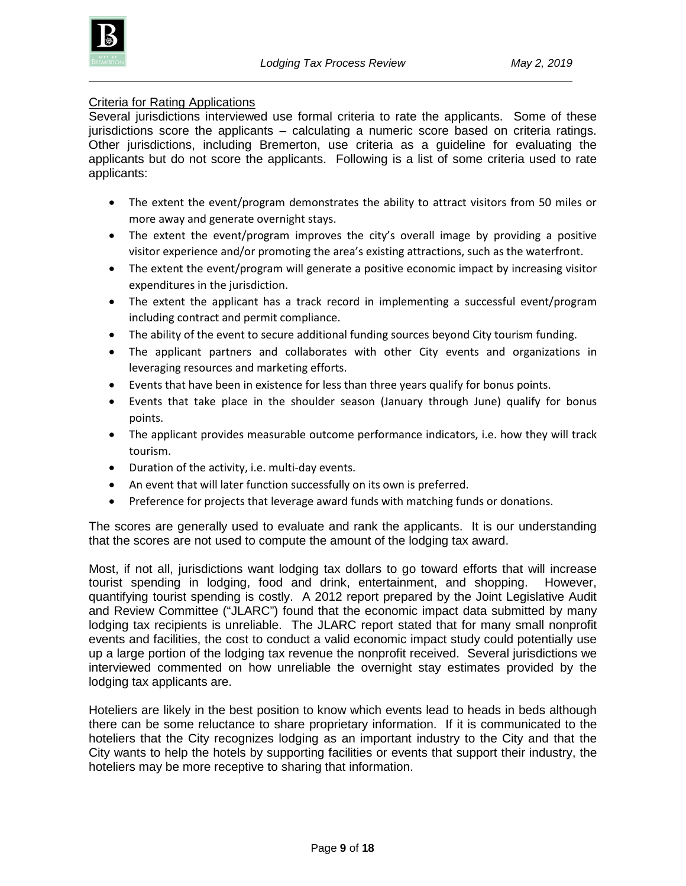

### Criteria for Rating Applications

Several jurisdictions interviewed use formal criteria to rate the applicants. Some of these jurisdictions score the applicants – calculating a numeric score based on criteria ratings. Other jurisdictions, including Bremerton, use criteria as a guideline for evaluating the applicants but do not score the applicants. Following is a list of some criteria used to rate applicants:

- The extent the event/program demonstrates the ability to attract visitors from 50 miles or more away and generate overnight stays.
- The extent the event/program improves the city's overall image by providing a positive visitor experience and/or promoting the area's existing attractions, such as the waterfront.
- The extent the event/program will generate a positive economic impact by increasing visitor expenditures in the jurisdiction.
- The extent the applicant has a track record in implementing a successful event/program including contract and permit compliance.
- The ability of the event to secure additional funding sources beyond City tourism funding.
- The applicant partners and collaborates with other City events and organizations in leveraging resources and marketing efforts.
- Events that have been in existence for less than three years qualify for bonus points.
- Events that take place in the shoulder season (January through June) qualify for bonus points.
- The applicant provides measurable outcome performance indicators, i.e. how they will track tourism.
- Duration of the activity, i.e. multi-day events.
- An event that will later function successfully on its own is preferred.
- Preference for projects that leverage award funds with matching funds or donations.

The scores are generally used to evaluate and rank the applicants. It is our understanding that the scores are not used to compute the amount of the lodging tax award.

Most, if not all, jurisdictions want lodging tax dollars to go toward efforts that will increase tourist spending in lodging, food and drink, entertainment, and shopping. However, quantifying tourist spending is costly. A 2012 report prepared by the Joint Legislative Audit and Review Committee ("JLARC") found that the economic impact data submitted by many lodging tax recipients is unreliable. The JLARC report stated that for many small nonprofit events and facilities, the cost to conduct a valid economic impact study could potentially use up a large portion of the lodging tax revenue the nonprofit received. Several jurisdictions we interviewed commented on how unreliable the overnight stay estimates provided by the lodging tax applicants are.

Hoteliers are likely in the best position to know which events lead to heads in beds although there can be some reluctance to share proprietary information. If it is communicated to the hoteliers that the City recognizes lodging as an important industry to the City and that the City wants to help the hotels by supporting facilities or events that support their industry, the hoteliers may be more receptive to sharing that information.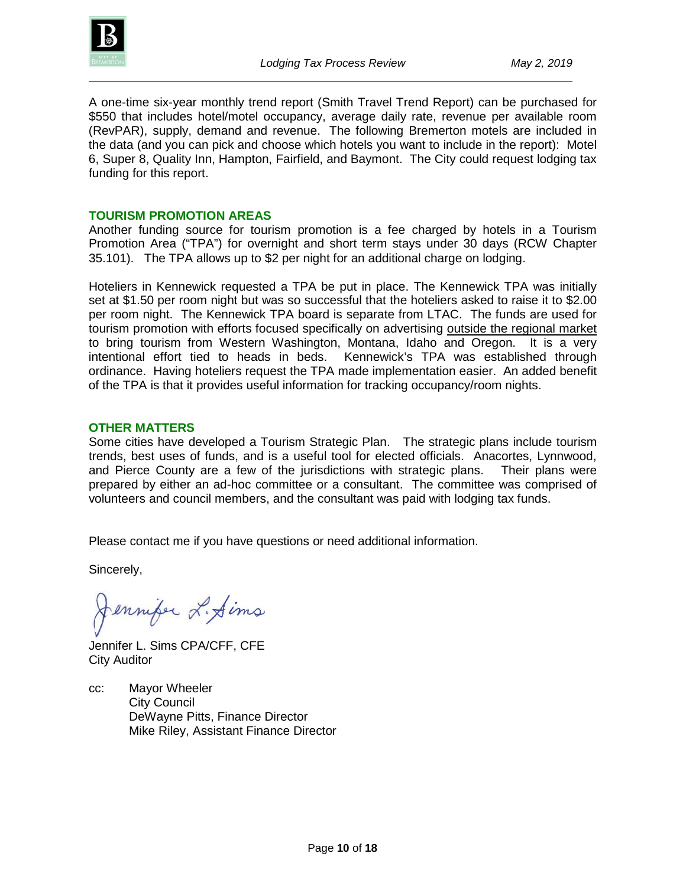

A one-time six-year monthly trend report (Smith Travel Trend Report) can be purchased for \$550 that includes hotel/motel occupancy, average daily rate, revenue per available room (RevPAR), supply, demand and revenue. The following Bremerton motels are included in the data (and you can pick and choose which hotels you want to include in the report): Motel 6, Super 8, Quality Inn, Hampton, Fairfield, and Baymont. The City could request lodging tax funding for this report.

### **TOURISM PROMOTION AREAS**

Another funding source for tourism promotion is a fee charged by hotels in a Tourism Promotion Area ("TPA") for overnight and short term stays under 30 days (RCW Chapter 35.101). The TPA allows up to \$2 per night for an additional charge on lodging.

Hoteliers in Kennewick requested a TPA be put in place. The Kennewick TPA was initially set at \$1.50 per room night but was so successful that the hoteliers asked to raise it to \$2.00 per room night. The Kennewick TPA board is separate from LTAC. The funds are used for tourism promotion with efforts focused specifically on advertising outside the regional market to bring tourism from Western Washington, Montana, Idaho and Oregon. It is a very intentional effort tied to heads in beds. Kennewick's TPA was established through ordinance. Having hoteliers request the TPA made implementation easier. An added benefit of the TPA is that it provides useful information for tracking occupancy/room nights.

### **OTHER MATTERS**

Some cities have developed a Tourism Strategic Plan. The strategic plans include tourism trends, best uses of funds, and is a useful tool for elected officials. Anacortes, Lynnwood, and Pierce County are a few of the jurisdictions with strategic plans. Their plans were prepared by either an ad-hoc committee or a consultant. The committee was comprised of volunteers and council members, and the consultant was paid with lodging tax funds.

Please contact me if you have questions or need additional information.

Sincerely,

Jennifer L. Sims

Jennifer L. Sims CPA/CFF, CFE City Auditor

cc: Mayor Wheeler City Council DeWayne Pitts, Finance Director Mike Riley, Assistant Finance Director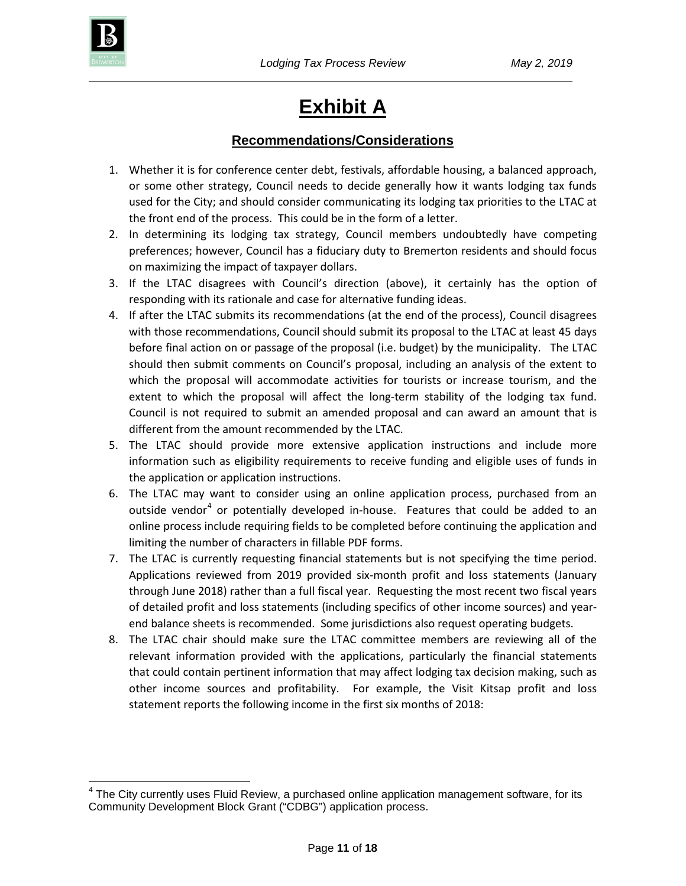

# **Exhibit A**

# **Recommendations/Considerations**

- 1. Whether it is for conference center debt, festivals, affordable housing, a balanced approach, or some other strategy, Council needs to decide generally how it wants lodging tax funds used for the City; and should consider communicating its lodging tax priorities to the LTAC at the front end of the process. This could be in the form of a letter.
- 2. In determining its lodging tax strategy, Council members undoubtedly have competing preferences; however, Council has a fiduciary duty to Bremerton residents and should focus on maximizing the impact of taxpayer dollars.
- 3. If the LTAC disagrees with Council's direction (above), it certainly has the option of responding with its rationale and case for alternative funding ideas.
- 4. If after the LTAC submits its recommendations (at the end of the process), Council disagrees with those recommendations, Council should submit its proposal to the LTAC at least 45 days before final action on or passage of the proposal (i.e. budget) by the municipality. The LTAC should then submit comments on Council's proposal, including an analysis of the extent to which the proposal will accommodate activities for tourists or increase tourism, and the extent to which the proposal will affect the long-term stability of the lodging tax fund. Council is not required to submit an amended proposal and can award an amount that is different from the amount recommended by the LTAC.
- 5. The LTAC should provide more extensive application instructions and include more information such as eligibility requirements to receive funding and eligible uses of funds in the application or application instructions.
- 6. The LTAC may want to consider using an online application process, purchased from an outside vendor<sup>[4](#page-10-0)</sup> or potentially developed in-house. Features that could be added to an online process include requiring fields to be completed before continuing the application and limiting the number of characters in fillable PDF forms.
- 7. The LTAC is currently requesting financial statements but is not specifying the time period. Applications reviewed from 2019 provided six-month profit and loss statements (January through June 2018) rather than a full fiscal year. Requesting the most recent two fiscal years of detailed profit and loss statements (including specifics of other income sources) and yearend balance sheets is recommended. Some jurisdictions also request operating budgets.
- 8. The LTAC chair should make sure the LTAC committee members are reviewing all of the relevant information provided with the applications, particularly the financial statements that could contain pertinent information that may affect lodging tax decision making, such as other income sources and profitability. For example, the Visit Kitsap profit and loss statement reports the following income in the first six months of 2018:

<span id="page-10-0"></span> $4$  The City currently uses Fluid Review, a purchased online application management software, for its Community Development Block Grant ("CDBG") application process.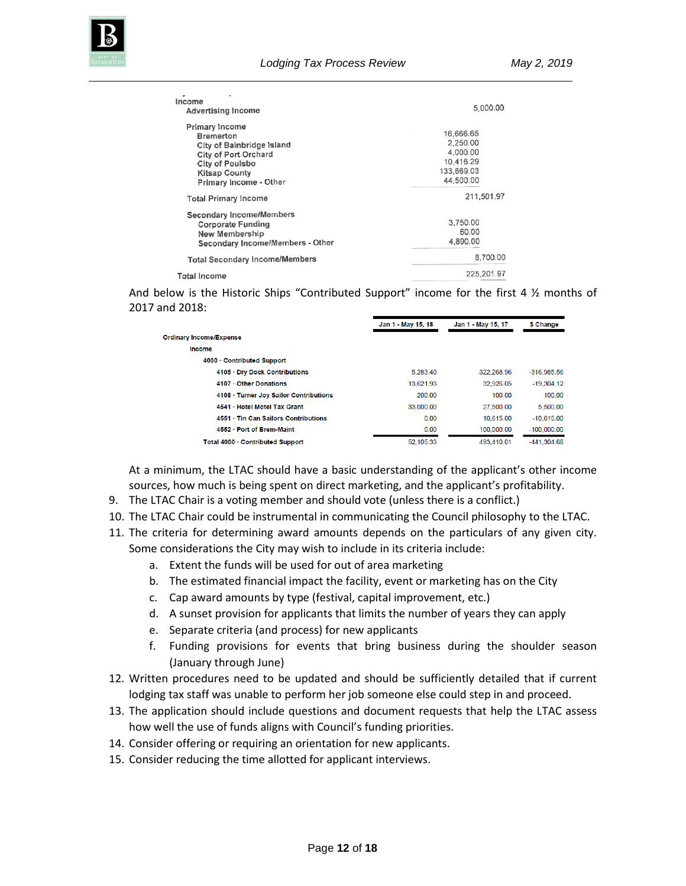*Lodging Tax Process Review May 2, 2019* 





| Income                                |            |
|---------------------------------------|------------|
| <b>Advertising Income</b>             | 5.000.00   |
| <b>Primary Income</b>                 |            |
| <b>Bremerton</b>                      | 16,666.65  |
| City of Bainbridge Island             | 2,250.00   |
| City of Port Orchard                  | 4,000.00   |
| City of Poulsbo                       | 10.416.29  |
| <b>Kitsap County</b>                  | 133,669.03 |
| Primary Income - Other                | 44,500.00  |
| <b>Total Primary Income</b>           | 211.501.97 |
| <b>Secondary Income/Members</b>       |            |
| <b>Corporate Funding</b>              | 3.750.00   |
| New Membership                        | 60.00      |
| Secondary Income/Members - Other      | 4,890.00   |
| <b>Total Secondary Income/Members</b> | 8,700.00   |
| Total Income                          | 225,201.97 |

And below is the Historic Ships "Contributed Support" income for the first 4  $\frac{1}{2}$  months of 2017 and 2018:

|                                      | Jan 1 - May 15, 18 | Jan 1 - May 15, 17 | \$ Change     |
|--------------------------------------|--------------------|--------------------|---------------|
| <b>Ordinary Income/Expense</b>       |                    |                    |               |
| Income                               |                    |                    |               |
| 4000 · Contributed Support           |                    |                    |               |
| 4105 · Dry Dock Contributions        | 5.283.40           | 322.268.96         | $-316,985.56$ |
| 4107 · Other Donations               | 13.621.93          | 32.926.05          | $-19.304.12$  |
| 4108 Turner Joy Sailor Contributions | 200.00             | 100.00             | 100.00        |
| 4541 · Hotel Motel Tax Grant         | 33,000.00          | 27,500.00          | 5,500.00      |
| 4551 · Tin Can Sailors Contributions | 0.00               | 10,615.00          | $-10.615.00$  |
| 4552 · Port of Brem-Maint            | 0.00               | 100.000.00         | $-100.000.00$ |
| Total 4000 · Contributed Support     | 52.105.33          | 493.410.01         | $-441.304.68$ |

At a minimum, the LTAC should have a basic understanding of the applicant's other income sources, how much is being spent on direct marketing, and the applicant's profitability.

- 9. The LTAC Chair is a voting member and should vote (unless there is a conflict.)
- 10. The LTAC Chair could be instrumental in communicating the Council philosophy to the LTAC.
- 11. The criteria for determining award amounts depends on the particulars of any given city. Some considerations the City may wish to include in its criteria include:
	- a. Extent the funds will be used for out of area marketing
	- b. The estimated financial impact the facility, event or marketing has on the City
	- c. Cap award amounts by type (festival, capital improvement, etc.)
	- d. A sunset provision for applicants that limits the number of years they can apply
	- e. Separate criteria (and process) for new applicants
	- f. Funding provisions for events that bring business during the shoulder season (January through June)
- 12. Written procedures need to be updated and should be sufficiently detailed that if current lodging tax staff was unable to perform her job someone else could step in and proceed.
- 13. The application should include questions and document requests that help the LTAC assess how well the use of funds aligns with Council's funding priorities.
- 14. Consider offering or requiring an orientation for new applicants.
- 15. Consider reducing the time allotted for applicant interviews.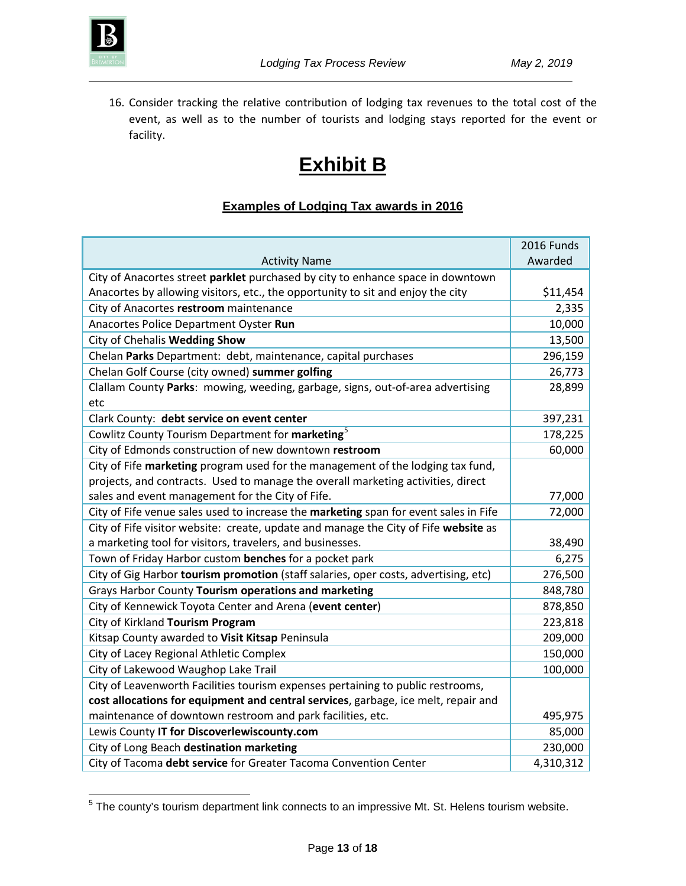

16. Consider tracking the relative contribution of lodging tax revenues to the total cost of the event, as well as to the number of tourists and lodging stays reported for the event or facility.

# **Exhibit B**

# **Examples of Lodging Tax awards in 2016**

|                                                                                      | 2016 Funds |
|--------------------------------------------------------------------------------------|------------|
| <b>Activity Name</b>                                                                 | Awarded    |
| City of Anacortes street parklet purchased by city to enhance space in downtown      |            |
| Anacortes by allowing visitors, etc., the opportunity to sit and enjoy the city      | \$11,454   |
| City of Anacortes restroom maintenance                                               | 2,335      |
| Anacortes Police Department Oyster Run                                               | 10,000     |
| City of Chehalis Wedding Show                                                        | 13,500     |
| Chelan Parks Department: debt, maintenance, capital purchases                        | 296,159    |
| Chelan Golf Course (city owned) summer golfing                                       | 26,773     |
| Clallam County Parks: mowing, weeding, garbage, signs, out-of-area advertising       | 28,899     |
| etc                                                                                  |            |
| Clark County: debt service on event center                                           | 397,231    |
| Cowlitz County Tourism Department for marketing <sup>5</sup>                         | 178,225    |
| City of Edmonds construction of new downtown restroom                                | 60,000     |
| City of Fife marketing program used for the management of the lodging tax fund,      |            |
| projects, and contracts. Used to manage the overall marketing activities, direct     |            |
| sales and event management for the City of Fife.                                     | 77,000     |
| City of Fife venue sales used to increase the marketing span for event sales in Fife | 72,000     |
| City of Fife visitor website: create, update and manage the City of Fife website as  |            |
| a marketing tool for visitors, travelers, and businesses.                            | 38,490     |
| Town of Friday Harbor custom benches for a pocket park                               | 6,275      |
| City of Gig Harbor tourism promotion (staff salaries, oper costs, advertising, etc)  | 276,500    |
| Grays Harbor County Tourism operations and marketing                                 | 848,780    |
| City of Kennewick Toyota Center and Arena (event center)                             | 878,850    |
| City of Kirkland Tourism Program                                                     | 223,818    |
| Kitsap County awarded to Visit Kitsap Peninsula                                      | 209,000    |
| City of Lacey Regional Athletic Complex                                              | 150,000    |
| City of Lakewood Waughop Lake Trail                                                  | 100,000    |
| City of Leavenworth Facilities tourism expenses pertaining to public restrooms,      |            |
| cost allocations for equipment and central services, garbage, ice melt, repair and   |            |
| maintenance of downtown restroom and park facilities, etc.                           | 495,975    |
| Lewis County IT for Discoverlewiscounty.com                                          | 85,000     |
| City of Long Beach destination marketing                                             | 230,000    |
| City of Tacoma debt service for Greater Tacoma Convention Center                     | 4,310,312  |

<span id="page-12-0"></span> $\frac{1}{5}$  The county's tourism department link connects to an impressive Mt. St. Helens tourism website.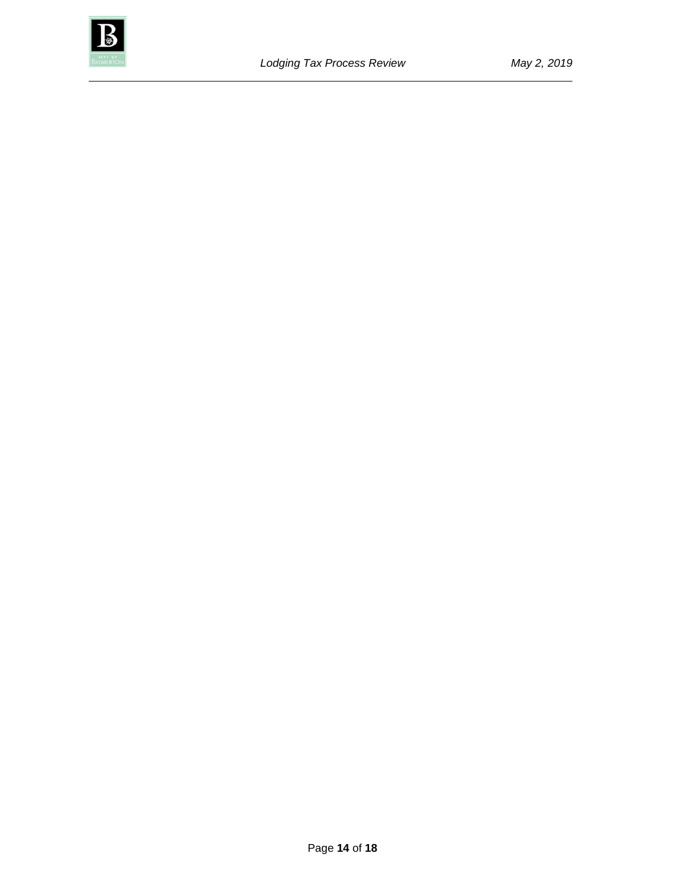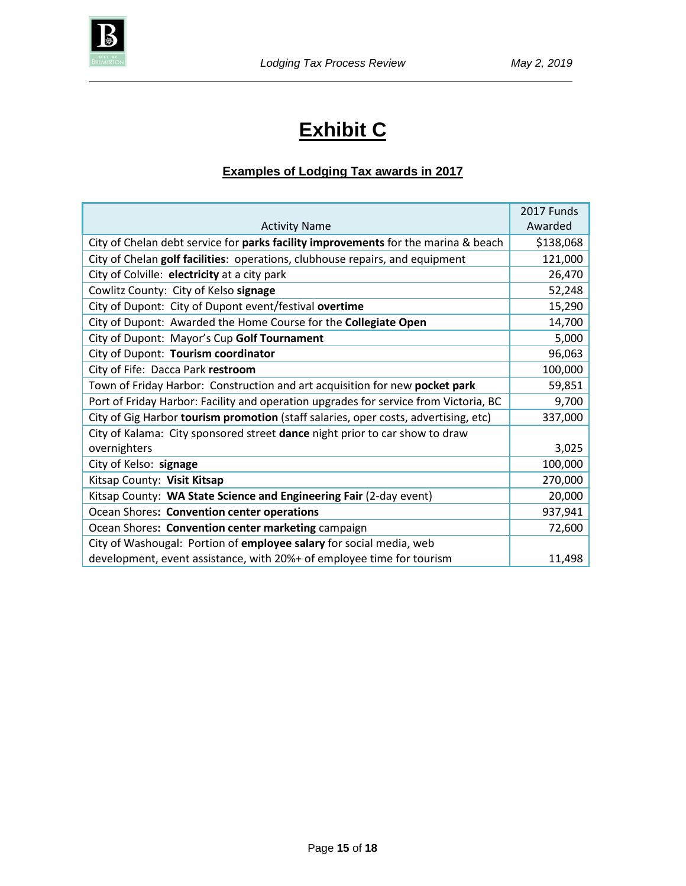

# **Exhibit C**

## **Examples of Lodging Tax awards in 2017**

|                                                                                      | 2017 Funds |
|--------------------------------------------------------------------------------------|------------|
| <b>Activity Name</b>                                                                 | Awarded    |
| City of Chelan debt service for parks facility improvements for the marina & beach   | \$138,068  |
| City of Chelan golf facilities: operations, clubhouse repairs, and equipment         | 121,000    |
| City of Colville: electricity at a city park                                         | 26,470     |
| Cowlitz County: City of Kelso signage                                                | 52,248     |
| City of Dupont: City of Dupont event/festival overtime                               | 15,290     |
| City of Dupont: Awarded the Home Course for the Collegiate Open                      | 14,700     |
| City of Dupont: Mayor's Cup Golf Tournament                                          | 5,000      |
| City of Dupont: Tourism coordinator                                                  | 96,063     |
| City of Fife: Dacca Park restroom                                                    | 100,000    |
| Town of Friday Harbor: Construction and art acquisition for new pocket park          | 59,851     |
| Port of Friday Harbor: Facility and operation upgrades for service from Victoria, BC | 9,700      |
| City of Gig Harbor tourism promotion (staff salaries, oper costs, advertising, etc)  | 337,000    |
| City of Kalama: City sponsored street dance night prior to car show to draw          |            |
| overnighters                                                                         | 3,025      |
| City of Kelso: signage                                                               | 100,000    |
| Kitsap County: Visit Kitsap                                                          | 270,000    |
| Kitsap County: WA State Science and Engineering Fair (2-day event)                   | 20,000     |
| Ocean Shores: Convention center operations                                           | 937,941    |
| Ocean Shores: Convention center marketing campaign                                   | 72,600     |
| City of Washougal: Portion of employee salary for social media, web                  |            |
| development, event assistance, with 20%+ of employee time for tourism                | 11,498     |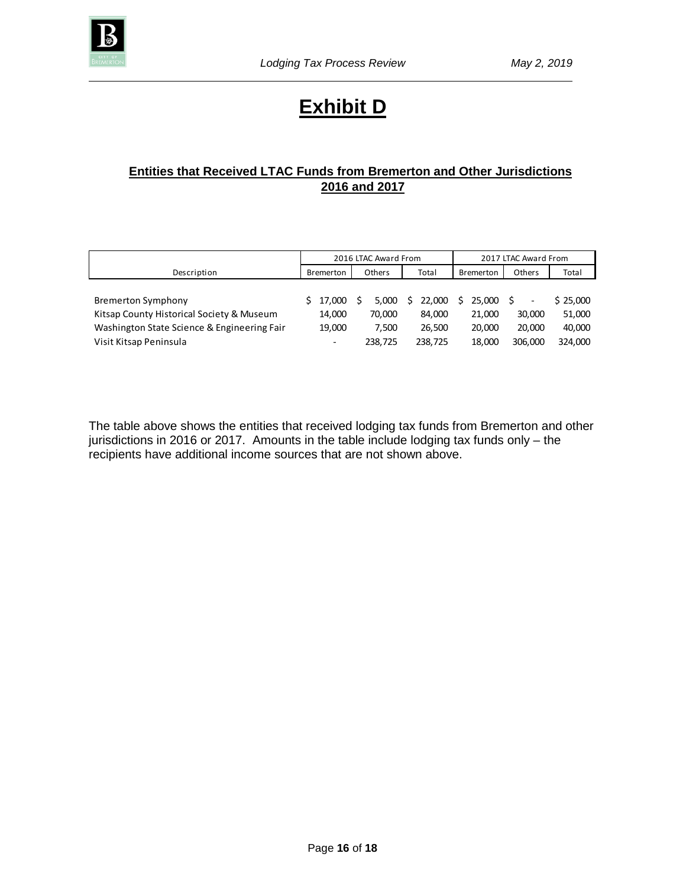

# **Exhibit D**

## **Entities that Received LTAC Funds from Bremerton and Other Jurisdictions 2016 and 2017**

|                                             | 2016 LTAC Award From |        |        |         |       | 2017 LTAC Award From |           |        |        |         |          |
|---------------------------------------------|----------------------|--------|--------|---------|-------|----------------------|-----------|--------|--------|---------|----------|
| Description                                 | <b>Bremerton</b>     |        | Others |         | Total |                      | Bremerton |        | Others |         | Total    |
|                                             |                      |        |        |         |       |                      |           |        |        |         |          |
| <b>Bremerton Symphony</b>                   |                      | 17.000 |        | 5.000   | S     | 22,000               | S.        | 25.000 |        |         | \$25.000 |
| Kitsap County Historical Society & Museum   |                      | 14.000 |        | 70.000  |       | 84.000               |           | 21.000 |        | 30,000  | 51,000   |
| Washington State Science & Engineering Fair |                      | 19.000 |        | 7.500   |       | 26.500               |           | 20,000 |        | 20,000  | 40,000   |
| Visit Kitsap Peninsula                      |                      | ۰      |        | 238.725 |       | 238.725              |           | 18.000 |        | 306.000 | 324,000  |

The table above shows the entities that received lodging tax funds from Bremerton and other jurisdictions in 2016 or 2017. Amounts in the table include lodging tax funds only – the recipients have additional income sources that are not shown above.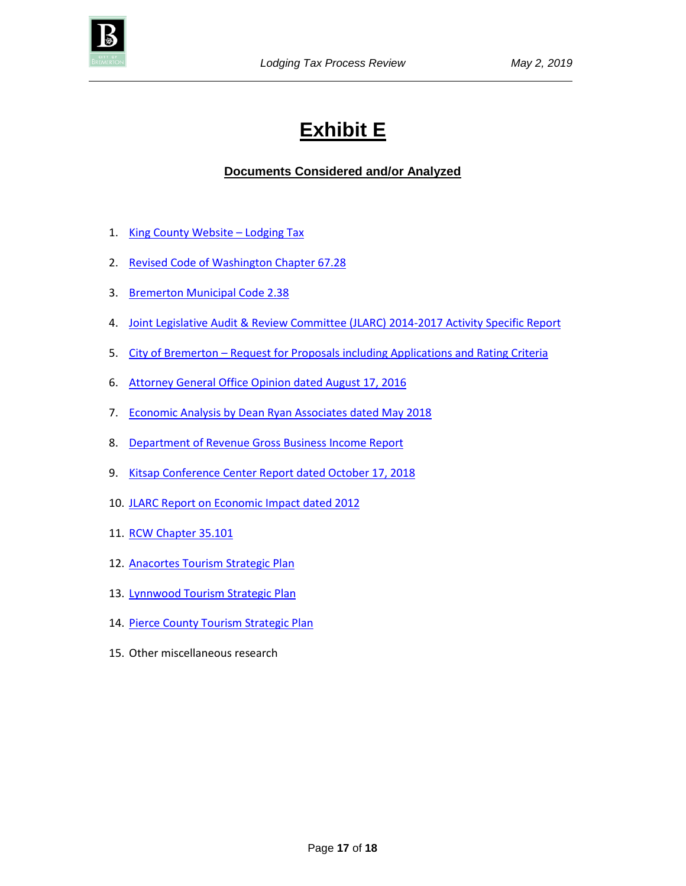

# **Exhibit E**

# **Documents Considered and/or Analyzed**

- 1. King County Website Lodging Tax
- 2. [Revised Code of Washington Chapter 67.28](https://www.bremertonwa.gov/DocumentCenter/View/7772)
- 3. [Bremerton Municipal Code 2.38](https://www.bremertonwa.gov/DocumentCenter/View/7773)
- 4. [Joint Legislative Audit & Review Committee \(JLARC\) 2014-2017 Activity Specific Report](https://www.bremertonwa.gov/DocumentCenter/View/7774)
- 5. City of Bremerton [Request for Proposals including Applications and Rating Criteria](https://www.bremertonwa.gov/DocumentCenter/View/7775)
- 6. [Attorney General Office Opinion dated August 17, 2016](https://www.bremertonwa.gov/DocumentCenter/View/7762)
- 7. [Economic Analysis by Dean Ryan Associates dated May 2018](https://www.bremertonwa.gov/DocumentCenter/View/7763)
- 8. [Department of Revenue Gross Business Income Report](https://www.bremertonwa.gov/DocumentCenter/View/7764)
- 9. [Kitsap Conference Center Report](https://www.bremertonwa.gov/DocumentCenter/View/7765) dated October 17, 2018
- 10. [JLARC Report on Economic Impact dated 2012](https://www.bremertonwa.gov/DocumentCenter/View/7766)
- 11. [RCW Chapter 35.101](https://www.bremertonwa.gov/DocumentCenter/View/7767)
- 12. [Anacortes Tourism Strategic Plan](https://www.bremertonwa.gov/DocumentCenter/View/7768)
- 13. Lynnwood Tourism Strategic Plan
- 14. [Pierce County Tourism Strategic Plan](https://www.bremertonwa.gov/DocumentCenter/View/7770)
- 15. Other miscellaneous research